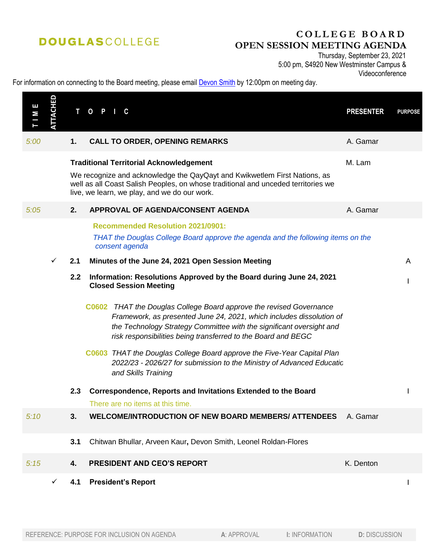# **DOUGLASCOLLEGE**

## **C O L L E G E B O A R D OPEN SESSION MEETING AGENDA**

Thursday, September 23, 2021 5:00 pm, S4920 New Westminster Campus &

#### For information on connecting to the Board meeting, please email **Devon Smith** by 12:00pm on meeting day.

| <b>TTACHED</b><br>Е<br>М | T<br>$\mathbf 0$<br><b>PRESENTER</b><br>P.<br>C                                                                                                                                                                                                                                      | <b>PURPOSE</b> |
|--------------------------|--------------------------------------------------------------------------------------------------------------------------------------------------------------------------------------------------------------------------------------------------------------------------------------|----------------|
| 5:00                     | A. Gamar<br>1.<br><b>CALL TO ORDER, OPENING REMARKS</b>                                                                                                                                                                                                                              |                |
|                          | M. Lam<br><b>Traditional Territorial Acknowledgement</b><br>We recognize and acknowledge the QayQayt and Kwikwetlem First Nations, as<br>well as all Coast Salish Peoples, on whose traditional and unceded territories we<br>live, we learn, we play, and we do our work.           |                |
| 5:05                     | APPROVAL OF AGENDA/CONSENT AGENDA<br>2.<br>A. Gamar                                                                                                                                                                                                                                  |                |
|                          | <b>Recommended Resolution 2021/0901:</b><br>THAT the Douglas College Board approve the agenda and the following items on the<br>consent agenda                                                                                                                                       |                |
| $\checkmark$             | Minutes of the June 24, 2021 Open Session Meeting<br>2.1                                                                                                                                                                                                                             | A              |
|                          | Information: Resolutions Approved by the Board during June 24, 2021<br>2.2<br><b>Closed Session Meeting</b>                                                                                                                                                                          |                |
|                          | C0602 THAT the Douglas College Board approve the revised Governance<br>Framework, as presented June 24, 2021, which includes dissolution of<br>the Technology Strategy Committee with the significant oversight and<br>risk responsibilities being transferred to the Board and BEGC |                |
|                          | C0603 THAT the Douglas College Board approve the Five-Year Capital Plan<br>2022/23 - 2026/27 for submission to the Ministry of Advanced Educatic<br>and Skills Training                                                                                                              |                |
|                          | Correspondence, Reports and Invitations Extended to the Board<br>2.3<br>There are no items at this time.                                                                                                                                                                             |                |
| 5:10                     | <b>WELCOME/INTRODUCTION OF NEW BOARD MEMBERS/ ATTENDEES</b><br>3.<br>A. Gamar                                                                                                                                                                                                        |                |
|                          | 3.1<br>Chitwan Bhullar, Arveen Kaur, Devon Smith, Leonel Roldan-Flores                                                                                                                                                                                                               |                |
| 5:15                     | <b>PRESIDENT AND CEO'S REPORT</b><br>K. Denton<br>4.                                                                                                                                                                                                                                 |                |
| $\checkmark$             | <b>President's Report</b><br>4.1                                                                                                                                                                                                                                                     |                |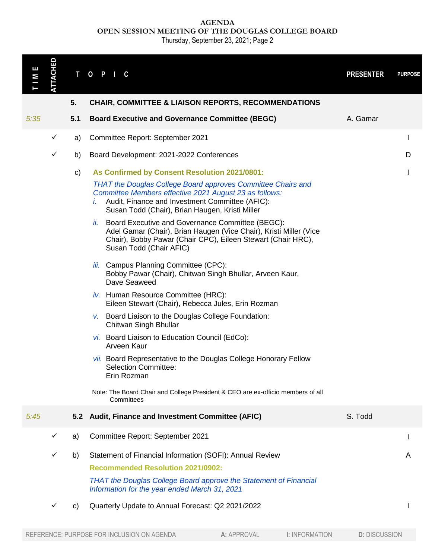**AGENDA OPEN SESSION MEETING OF THE DOUGLAS COLLEGE BOARD**

Thursday, September 23, 2021; Page 2

| Е<br>М | ATTACHED                                 | T   | $\mathbf{o}$<br>P I<br>C                                                                                                                                                                                                                  |                                      | <b>PRESENTER</b>     | <b>PURPOSE</b> |
|--------|------------------------------------------|-----|-------------------------------------------------------------------------------------------------------------------------------------------------------------------------------------------------------------------------------------------|--------------------------------------|----------------------|----------------|
|        |                                          | 5.  | <b>CHAIR, COMMITTEE &amp; LIAISON REPORTS, RECOMMENDATIONS</b>                                                                                                                                                                            |                                      |                      |                |
| 5:35   |                                          | 5.1 | <b>Board Executive and Governance Committee (BEGC)</b>                                                                                                                                                                                    |                                      | A. Gamar             |                |
|        | $\checkmark$                             | a)  | Committee Report: September 2021                                                                                                                                                                                                          |                                      |                      | $\mathbf{I}$   |
|        | ✓                                        | b)  | Board Development: 2021-2022 Conferences                                                                                                                                                                                                  |                                      |                      | D              |
|        |                                          | c)  | As Confirmed by Consent Resolution 2021/0801:                                                                                                                                                                                             |                                      |                      |                |
|        |                                          |     | <b>THAT the Douglas College Board approves Committee Chairs and</b><br>Committee Members effective 2021 August 23 as follows:<br>Audit, Finance and Investment Committee (AFIC):<br>Í.<br>Susan Todd (Chair), Brian Haugen, Kristi Miller |                                      |                      |                |
|        |                                          |     | Board Executive and Governance Committee (BEGC):<br>ii.<br>Adel Gamar (Chair), Brian Haugen (Vice Chair), Kristi Miller (Vice<br>Chair), Bobby Pawar (Chair CPC), Eileen Stewart (Chair HRC),<br>Susan Todd (Chair AFIC)                  |                                      |                      |                |
|        |                                          |     | iii. Campus Planning Committee (CPC):<br>Bobby Pawar (Chair), Chitwan Singh Bhullar, Arveen Kaur,<br>Dave Seaweed                                                                                                                         |                                      |                      |                |
|        |                                          |     | iv. Human Resource Committee (HRC):<br>Eileen Stewart (Chair), Rebecca Jules, Erin Rozman                                                                                                                                                 |                                      |                      |                |
|        |                                          |     | v. Board Liaison to the Douglas College Foundation:<br>Chitwan Singh Bhullar                                                                                                                                                              |                                      |                      |                |
|        |                                          |     | vi. Board Liaison to Education Council (EdCo):<br>Arveen Kaur                                                                                                                                                                             |                                      |                      |                |
|        |                                          |     | vii. Board Representative to the Douglas College Honorary Fellow<br><b>Selection Committee:</b><br>Erin Rozman                                                                                                                            |                                      |                      |                |
|        |                                          |     | Note: The Board Chair and College President & CEO are ex-officio members of all<br>Committees                                                                                                                                             |                                      |                      |                |
| 5:45   |                                          |     | 5.2 Audit, Finance and Investment Committee (AFIC)                                                                                                                                                                                        |                                      | S. Todd              |                |
|        | ✓                                        | a)  | Committee Report: September 2021                                                                                                                                                                                                          |                                      |                      |                |
|        | ✓                                        | b)  | Statement of Financial Information (SOFI): Annual Review                                                                                                                                                                                  |                                      |                      | A              |
|        | <b>Recommended Resolution 2021/0902:</b> |     |                                                                                                                                                                                                                                           |                                      |                      |                |
|        |                                          |     | THAT the Douglas College Board approve the Statement of Financial<br>Information for the year ended March 31, 2021                                                                                                                        |                                      |                      |                |
|        | ✓                                        | C)  | Quarterly Update to Annual Forecast: Q2 2021/2022                                                                                                                                                                                         |                                      |                      |                |
|        |                                          |     | REFERENCE: PURPOSE FOR INCLUSION ON AGENDA                                                                                                                                                                                                | A: APPROVAL<br><b>I: INFORMATION</b> | <b>D: DISCUSSION</b> |                |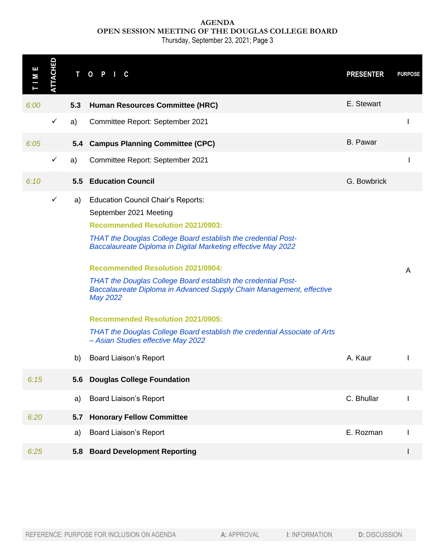### **AGENDA OPEN SESSION MEETING OF THE DOUGLAS COLLEGE BOARD**

Thursday, September 23, 2021; Page 3

| ш<br>М | <b>TTACHED</b> | т   | $\mathbf{o}$<br>P<br>C                                                                                                                                                                                                                                                                                                                                                                                                                                                                                                                                                                                                   |             |                       | <b>PRESENTER</b>     | <b>PURPOSE</b> |
|--------|----------------|-----|--------------------------------------------------------------------------------------------------------------------------------------------------------------------------------------------------------------------------------------------------------------------------------------------------------------------------------------------------------------------------------------------------------------------------------------------------------------------------------------------------------------------------------------------------------------------------------------------------------------------------|-------------|-----------------------|----------------------|----------------|
| 6:00   |                | 5.3 | <b>Human Resources Committee (HRC)</b>                                                                                                                                                                                                                                                                                                                                                                                                                                                                                                                                                                                   |             |                       | E. Stewart           |                |
|        | $\checkmark$   | a)  | Committee Report: September 2021                                                                                                                                                                                                                                                                                                                                                                                                                                                                                                                                                                                         |             |                       |                      | ı              |
| 6:05   |                |     | 5.4 Campus Planning Committee (CPC)                                                                                                                                                                                                                                                                                                                                                                                                                                                                                                                                                                                      |             |                       | <b>B.</b> Pawar      |                |
|        | $\checkmark$   | a)  | Committee Report: September 2021                                                                                                                                                                                                                                                                                                                                                                                                                                                                                                                                                                                         |             |                       |                      |                |
| 6:10   |                |     | <b>5.5 Education Council</b>                                                                                                                                                                                                                                                                                                                                                                                                                                                                                                                                                                                             |             |                       | G. Bowbrick          |                |
|        | $\checkmark$   | a)  | <b>Education Council Chair's Reports:</b><br>September 2021 Meeting<br><b>Recommended Resolution 2021/0903:</b><br>THAT the Douglas College Board establish the credential Post-<br>Baccalaureate Diploma in Digital Marketing effective May 2022<br><b>Recommended Resolution 2021/0904:</b><br>THAT the Douglas College Board establish the credential Post-<br>Baccalaureate Diploma in Advanced Supply Chain Management, effective<br>May 2022<br><b>Recommended Resolution 2021/0905:</b><br><b>THAT the Douglas College Board establish the credential Associate of Arts</b><br>- Asian Studies effective May 2022 |             |                       |                      | Α              |
|        |                | b)  | <b>Board Liaison's Report</b>                                                                                                                                                                                                                                                                                                                                                                                                                                                                                                                                                                                            |             |                       | A. Kaur              |                |
| 6:15   |                | 5.6 | <b>Douglas College Foundation</b>                                                                                                                                                                                                                                                                                                                                                                                                                                                                                                                                                                                        |             |                       |                      |                |
|        |                | a)  | <b>Board Liaison's Report</b>                                                                                                                                                                                                                                                                                                                                                                                                                                                                                                                                                                                            |             |                       | C. Bhullar           |                |
| 6:20   |                | 5.7 | <b>Honorary Fellow Committee</b>                                                                                                                                                                                                                                                                                                                                                                                                                                                                                                                                                                                         |             |                       |                      |                |
|        |                | a)  | <b>Board Liaison's Report</b>                                                                                                                                                                                                                                                                                                                                                                                                                                                                                                                                                                                            |             |                       | E. Rozman            |                |
| 6:25   |                |     | 5.8 Board Development Reporting                                                                                                                                                                                                                                                                                                                                                                                                                                                                                                                                                                                          |             |                       |                      |                |
|        |                |     | REFERENCE: PURPOSE FOR INCLUSION ON AGENDA                                                                                                                                                                                                                                                                                                                                                                                                                                                                                                                                                                               | A: APPROVAL | <b>I: INFORMATION</b> | <b>D: DISCUSSION</b> |                |